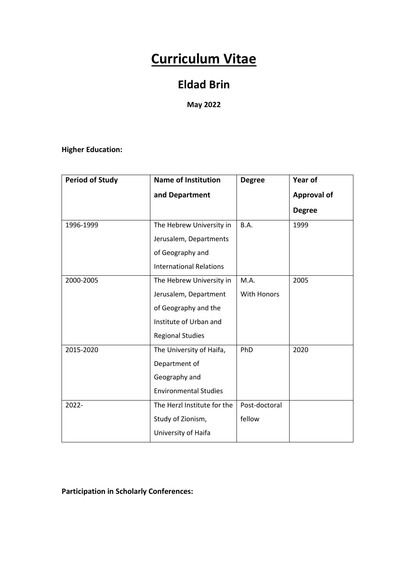# **Curriculum Vitae**

### **Eldad Brin**

**May 2022**

### **Higher Education:**

| <b>Period of Study</b> | <b>Name of Institution</b>     | <b>Degree</b>      | Year of            |
|------------------------|--------------------------------|--------------------|--------------------|
|                        | and Department                 |                    | <b>Approval of</b> |
|                        |                                |                    | <b>Degree</b>      |
| 1996-1999              | The Hebrew University in       | B.A.               | 1999               |
|                        | Jerusalem, Departments         |                    |                    |
|                        | of Geography and               |                    |                    |
|                        | <b>International Relations</b> |                    |                    |
| 2000-2005              | The Hebrew University in       | M.A.               | 2005               |
|                        | Jerusalem, Department          | <b>With Honors</b> |                    |
|                        | of Geography and the           |                    |                    |
|                        | Institute of Urban and         |                    |                    |
|                        | <b>Regional Studies</b>        |                    |                    |
| 2015-2020              | The University of Haifa,       | PhD                | 2020               |
|                        | Department of                  |                    |                    |
|                        | Geography and                  |                    |                    |
|                        | <b>Environmental Studies</b>   |                    |                    |
| 2022-                  | The Herzl Institute for the    |                    |                    |
|                        | Study of Zionism,              | fellow             |                    |
|                        | University of Haifa            |                    |                    |

**Participation in Scholarly Conferences:**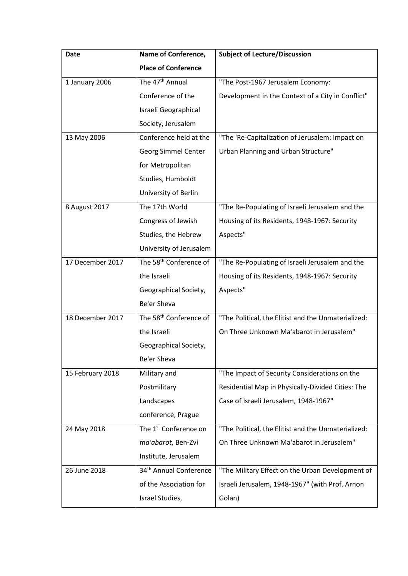| Date             | Name of Conference,                | <b>Subject of Lecture/Discussion</b>                |  |
|------------------|------------------------------------|-----------------------------------------------------|--|
|                  | <b>Place of Conference</b>         |                                                     |  |
| 1 January 2006   | The 47 <sup>th</sup> Annual        | "The Post-1967 Jerusalem Economy:                   |  |
|                  | Conference of the                  | Development in the Context of a City in Conflict"   |  |
|                  | Israeli Geographical               |                                                     |  |
|                  | Society, Jerusalem                 |                                                     |  |
| 13 May 2006      | Conference held at the             | "The 'Re-Capitalization of Jerusalem: Impact on     |  |
|                  | Georg Simmel Center                | Urban Planning and Urban Structure"                 |  |
|                  | for Metropolitan                   |                                                     |  |
|                  | Studies, Humboldt                  |                                                     |  |
|                  | University of Berlin               |                                                     |  |
| 8 August 2017    | The 17th World                     | "The Re-Populating of Israeli Jerusalem and the     |  |
|                  | Congress of Jewish                 | Housing of its Residents, 1948-1967: Security       |  |
|                  | Studies, the Hebrew                | Aspects"                                            |  |
|                  | University of Jerusalem            |                                                     |  |
| 17 December 2017 | The 58 <sup>th</sup> Conference of | "The Re-Populating of Israeli Jerusalem and the     |  |
|                  | the Israeli                        | Housing of its Residents, 1948-1967: Security       |  |
|                  | Geographical Society,              | Aspects"                                            |  |
|                  | Be'er Sheva                        |                                                     |  |
| 18 December 2017 | The 58 <sup>th</sup> Conference of | "The Political, the Elitist and the Unmaterialized: |  |
|                  | the Israeli                        | On Three Unknown Ma'abarot in Jerusalem"            |  |
|                  | Geographical Society,              |                                                     |  |
|                  | Be'er Sheva                        |                                                     |  |
| 15 February 2018 | Military and                       | "The Impact of Security Considerations on the       |  |
|                  | Postmilitary                       | Residential Map in Physically-Divided Cities: The   |  |
|                  | Landscapes                         | Case of Israeli Jerusalem, 1948-1967"               |  |
|                  | conference, Prague                 |                                                     |  |
| 24 May 2018      | The 1 <sup>st</sup> Conference on  | "The Political, the Elitist and the Unmaterialized: |  |
|                  | ma'abarot, Ben-Zvi                 | On Three Unknown Ma'abarot in Jerusalem"            |  |
|                  | Institute, Jerusalem               |                                                     |  |
| 26 June 2018     | 34 <sup>th</sup> Annual Conference | "The Military Effect on the Urban Development of    |  |
|                  | of the Association for             | Israeli Jerusalem, 1948-1967" (with Prof. Arnon     |  |
|                  | Israel Studies,                    | Golan)                                              |  |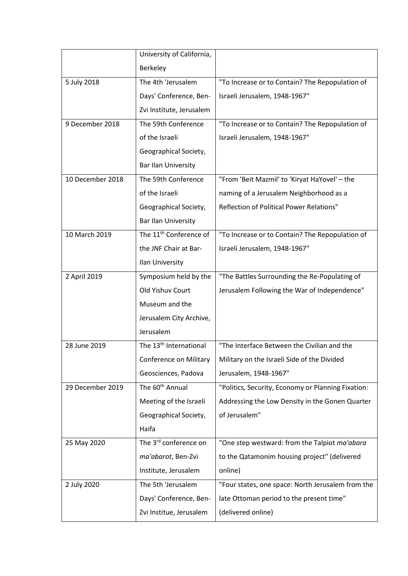|                  | University of California,          |                                                    |  |
|------------------|------------------------------------|----------------------------------------------------|--|
|                  | Berkeley                           |                                                    |  |
| 5 July 2018      | The 4th 'Jerusalem                 | "To Increase or to Contain? The Repopulation of    |  |
|                  | Days' Conference, Ben-             | Israeli Jerusalem, 1948-1967"                      |  |
|                  | Zvi Institute, Jerusalem           |                                                    |  |
| 9 December 2018  | The 59th Conference                | "To Increase or to Contain? The Repopulation of    |  |
|                  | of the Israeli                     | Israeli Jerusalem, 1948-1967"                      |  |
|                  | Geographical Society,              |                                                    |  |
|                  | Bar Ilan University                |                                                    |  |
| 10 December 2018 | The 59th Conference                | "From 'Beit Mazmil' to 'Kiryat HaYovel' - the      |  |
|                  | of the Israeli                     | naming of a Jerusalem Neighborhood as a            |  |
|                  | Geographical Society,              | Reflection of Political Power Relations"           |  |
|                  | Bar Ilan University                |                                                    |  |
| 10 March 2019    | The 11 <sup>th</sup> Conference of | "To Increase or to Contain? The Repopulation of    |  |
|                  | the JNF Chair at Bar-              | Israeli Jerusalem, 1948-1967"                      |  |
|                  | Ilan University                    |                                                    |  |
| 2 April 2019     | Symposium held by the              | "The Battles Surrounding the Re-Populating of      |  |
|                  | Old Yishuv Court                   | Jerusalem Following the War of Independence"       |  |
|                  | Museum and the                     |                                                    |  |
|                  | Jerusalem City Archive,            |                                                    |  |
|                  | Jerusalem                          |                                                    |  |
| 28 June 2019     | The 13 <sup>th</sup> International | "The Interface Between the Civilian and the        |  |
|                  | Conference on Military             | Military on the Israeli Side of the Divided        |  |
|                  | Geosciences, Padova                | Jerusalem, 1948-1967"                              |  |
| 29 December 2019 | The 60 <sup>th</sup> Annual        | "Politics, Security, Economy or Planning Fixation: |  |
|                  | Meeting of the Israeli             | Addressing the Low Density in the Gonen Quarter    |  |
|                  | Geographical Society,              | of Jerusalem"                                      |  |
|                  | Haifa                              |                                                    |  |
| 25 May 2020      | The 3 <sup>rd</sup> conference on  | "One step westward: from the Talpiot ma'abara      |  |
|                  | ma'abarot, Ben-Zvi                 | to the Qatamonim housing project" (delivered       |  |
|                  | Institute, Jerusalem               | online)                                            |  |
| 2 July 2020      | The 5th 'Jerusalem                 | "Four states, one space: North Jerusalem from the  |  |
|                  | Days' Conference, Ben-             | late Ottoman period to the present time"           |  |
|                  | Zvi Institue, Jerusalem            | (delivered online)                                 |  |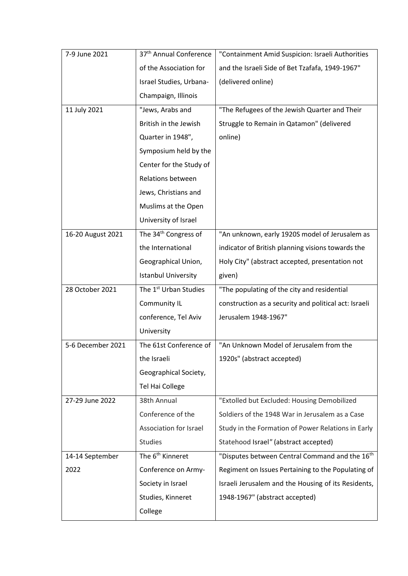| 7-9 June 2021     | 37 <sup>th</sup> Annual Conference | "Containment Amid Suspicion: Israeli Authorities           |
|-------------------|------------------------------------|------------------------------------------------------------|
|                   | of the Association for             | and the Israeli Side of Bet Tzafafa, 1949-1967"            |
|                   | Israel Studies, Urbana-            | (delivered online)                                         |
|                   | Champaign, Illinois                |                                                            |
| 11 July 2021      | "Jews, Arabs and                   | "The Refugees of the Jewish Quarter and Their              |
|                   | British in the Jewish              | Struggle to Remain in Qatamon" (delivered                  |
|                   | Quarter in 1948",                  | online)                                                    |
|                   | Symposium held by the              |                                                            |
|                   | Center for the Study of            |                                                            |
|                   | Relations between                  |                                                            |
|                   | Jews, Christians and               |                                                            |
|                   | Muslims at the Open                |                                                            |
|                   | University of Israel               |                                                            |
| 16-20 August 2021 | The 34 <sup>th</sup> Congress of   | "An unknown, early 1920S model of Jerusalem as             |
|                   | the International                  | indicator of British planning visions towards the          |
|                   | Geographical Union,                | Holy City" (abstract accepted, presentation not            |
|                   | <b>Istanbul University</b>         | given)                                                     |
| 28 October 2021   | The 1 <sup>st</sup> Urban Studies  | "The populating of the city and residential                |
|                   | Community IL                       | construction as a security and political act: Israeli      |
|                   | conference, Tel Aviv               | Jerusalem 1948-1967"                                       |
|                   | University                         |                                                            |
| 5-6 December 2021 | The 61st Conference of             | "An Unknown Model of Jerusalem from the                    |
|                   | the Israeli                        | 1920s" (abstract accepted)                                 |
|                   | Geographical Society,              |                                                            |
|                   | <b>Tel Hai College</b>             |                                                            |
| 27-29 June 2022   | 38th Annual                        | "Extolled but Excluded: Housing Demobilized                |
|                   | Conference of the                  | Soldiers of the 1948 War in Jerusalem as a Case            |
|                   | Association for Israel             | Study in the Formation of Power Relations in Early         |
|                   | <b>Studies</b>                     | Statehood Israel" (abstract accepted)                      |
| 14-14 September   | The 6 <sup>th</sup> Kinneret       | "Disputes between Central Command and the 16 <sup>th</sup> |
| 2022              | Conference on Army-                | Regiment on Issues Pertaining to the Populating of         |
|                   | Society in Israel                  | Israeli Jerusalem and the Housing of its Residents,        |
|                   |                                    |                                                            |
|                   | Studies, Kinneret                  | 1948-1967" (abstract accepted)                             |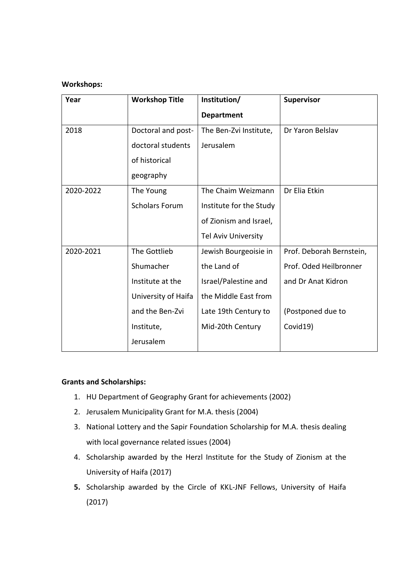#### **Workshops:**

| Year      | <b>Workshop Title</b> | Institution/               | <b>Supervisor</b>        |
|-----------|-----------------------|----------------------------|--------------------------|
|           |                       | <b>Department</b>          |                          |
| 2018      | Doctoral and post-    | The Ben-Zvi Institute,     | Dr Yaron Belslav         |
|           | doctoral students     | Jerusalem                  |                          |
|           | of historical         |                            |                          |
|           | geography             |                            |                          |
| 2020-2022 | The Young             | The Chaim Weizmann         | Dr Elia Etkin            |
|           | <b>Scholars Forum</b> | Institute for the Study    |                          |
|           |                       | of Zionism and Israel,     |                          |
|           |                       | <b>Tel Aviv University</b> |                          |
| 2020-2021 | The Gottlieb          | Jewish Bourgeoisie in      | Prof. Deborah Bernstein, |
|           | Shumacher             | the Land of                | Prof. Oded Heilbronner   |
|           | Institute at the      | Israel/Palestine and       | and Dr Anat Kidron       |
|           | University of Haifa   | the Middle East from       |                          |
|           | and the Ben-Zvi       | Late 19th Century to       | (Postponed due to        |
|           | Institute,            | Mid-20th Century           | Covid19)                 |
|           | Jerusalem             |                            |                          |

#### **Grants and Scholarships:**

- 1. HU Department of Geography Grant for achievements (2002)
- 2. Jerusalem Municipality Grant for M.A. thesis (2004)
- 3. National Lottery and the Sapir Foundation Scholarship for M.A. thesis dealing with local governance related issues (2004)
- 4. Scholarship awarded by the Herzl Institute for the Study of Zionism at the University of Haifa (2017)
- **5.** Scholarship awarded by the Circle of KKL-JNF Fellows, University of Haifa (2017)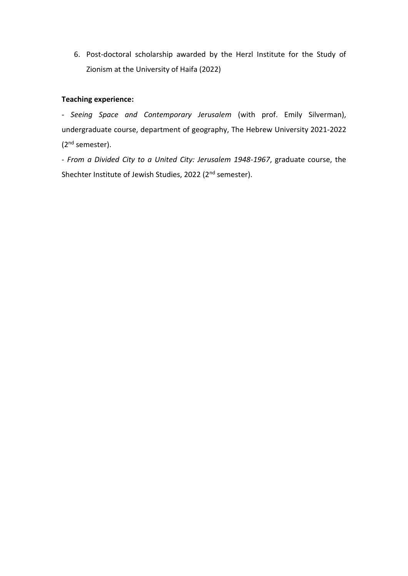6. Post-doctoral scholarship awarded by the Herzl Institute for the Study of Zionism at the University of Haifa (2022)

#### **Teaching experience:**

*- Seeing Space and Contemporary Jerusalem* (with prof. Emily Silverman), undergraduate course, department of geography, The Hebrew University 2021-2022 (2nd semester).

- *From a Divided City to a United City: Jerusalem 1948-1967*, graduate course, the Shechter Institute of Jewish Studies, 2022 (2<sup>nd</sup> semester).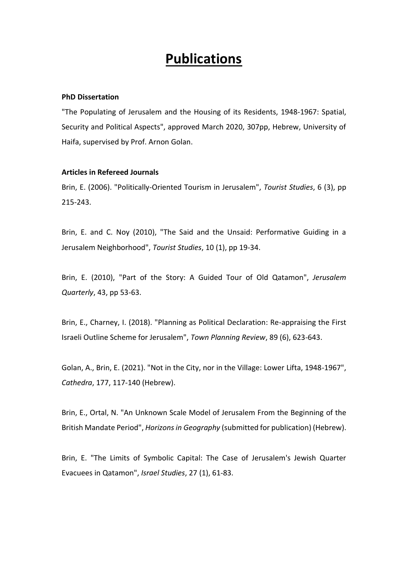## **Publications**

#### **PhD Dissertation**

"The Populating of Jerusalem and the Housing of its Residents, 1948-1967: Spatial, Security and Political Aspects", approved March 2020, 307pp, Hebrew, University of Haifa, supervised by Prof. Arnon Golan.

#### **Articles in Refereed Journals**

Brin, E. (2006). "Politically-Oriented Tourism in Jerusalem", *Tourist Studies*, 6 (3), pp 215-243.

Brin, E. and C. Noy (2010), "The Said and the Unsaid: Performative Guiding in a Jerusalem Neighborhood", *Tourist Studies*, 10 (1), pp 19-34.

Brin, E. (2010), "Part of the Story: A Guided Tour of Old Qatamon", *Jerusalem Quarterly*, 43, pp 53-63.

Brin, E., Charney, I. (2018). "Planning as Political Declaration: Re-appraising the First Israeli Outline Scheme for Jerusalem", *Town Planning Review*, 89 (6), 623-643.

Golan, A., Brin, E. (2021). "Not in the City, nor in the Village: Lower Lifta, 1948-1967", *Cathedra*, 177, 117-140 (Hebrew).

Brin, E., Ortal, N. "An Unknown Scale Model of Jerusalem From the Beginning of the British Mandate Period", *Horizons in Geography* (submitted for publication) (Hebrew).

Brin, E. "The Limits of Symbolic Capital: The Case of Jerusalem's Jewish Quarter Evacuees in Qatamon", *Israel Studies*, 27 (1), 61-83.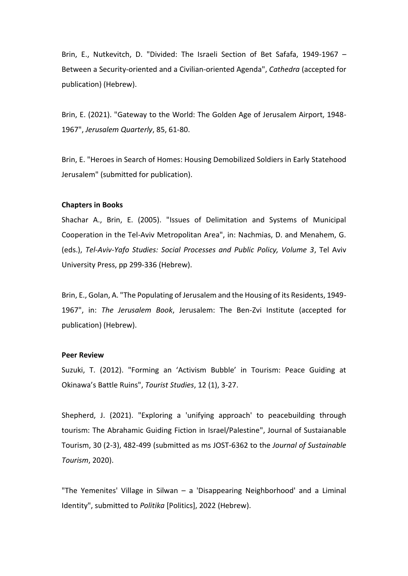Brin, E., Nutkevitch, D. "Divided: The Israeli Section of Bet Safafa, 1949-1967 – Between a Security-oriented and a Civilian-oriented Agenda", *Cathedra* (accepted for publication) (Hebrew).

Brin, E. (2021). "Gateway to the World: The Golden Age of Jerusalem Airport, 1948- 1967", *Jerusalem Quarterly*, 85, 61-80.

Brin, E. "Heroes in Search of Homes: Housing Demobilized Soldiers in Early Statehood Jerusalem" (submitted for publication).

#### **Chapters in Books**

Shachar A., Brin, E. (2005). "Issues of Delimitation and Systems of Municipal Cooperation in the Tel-Aviv Metropolitan Area", in: Nachmias, D. and Menahem, G. (eds.), *Tel-Aviv-Yafo Studies: Social Processes and Public Policy, Volume 3*, Tel Aviv University Press, pp 299-336 (Hebrew).

Brin, E., Golan, A. "The Populating of Jerusalem and the Housing of its Residents, 1949- 1967", in: *The Jerusalem Book*, Jerusalem: The Ben-Zvi Institute (accepted for publication) (Hebrew).

#### **Peer Review**

Suzuki, T. (2012). "[Forming an 'Activism Bubble' in Tourism: Peace Guiding at](http://journals.sagepub.com/doi/full/10.1177/1468797612438457)  [Okinawa's Battle Ruins",](http://journals.sagepub.com/doi/full/10.1177/1468797612438457) *Tourist Studies*, 12 (1), 3-27.

Shepherd, J. (2021). "Exploring a 'unifying approach' to peacebuilding through tourism: The Abrahamic Guiding Fiction in Israel/Palestine", Journal of Sustaianable Tourism, 30 (2-3), 482-499 (submitted as ms JOST-6362 to the *Journal of Sustainable Tourism*, 2020).

"The Yemenites' Village in Silwan – a 'Disappearing Neighborhood' and a Liminal Identity", submitted to *Politika* [Politics], 2022 (Hebrew).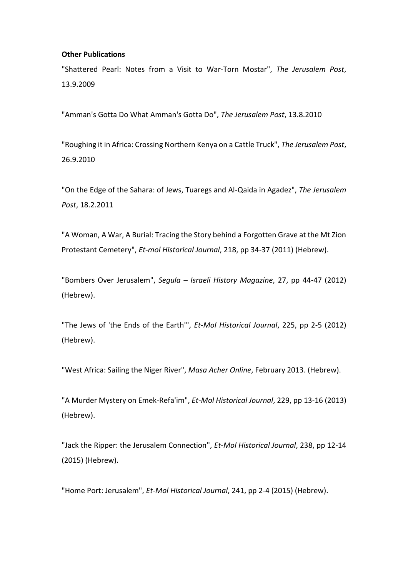#### **Other Publications**

"Shattered Pearl: Notes from a Visit to War-Torn Mostar", *The Jerusalem Post*, 13.9.2009

"Amman's Gotta Do What Amman's Gotta Do", *The Jerusalem Post*, 13.8.2010

"Roughing it in Africa: Crossing Northern Kenya on a Cattle Truck", *The Jerusalem Post*, 26.9.2010

"On the Edge of the Sahara: of Jews, Tuaregs and Al-Qaida in Agadez", *The Jerusalem Post*, 18.2.2011

"A Woman, A War, A Burial: Tracing the Story behind a Forgotten Grave at the Mt Zion Protestant Cemetery", *Et-mol Historical Journal*, 218, pp 34-37 (2011) (Hebrew).

"Bombers Over Jerusalem", *Segula – Israeli History Magazine*, 27, pp 44-47 (2012) (Hebrew).

"The Jews of 'the Ends of the Earth'", *Et-Mol Historical Journal*, 225, pp 2-5 (2012) (Hebrew).

"West Africa: Sailing the Niger River", *Masa Acher Online*, February 2013. (Hebrew).

"A Murder Mystery on Emek-Refa'im", *Et-Mol Historical Journal*, 229, pp 13-16 (2013) (Hebrew).

"Jack the Ripper: the Jerusalem Connection", *Et-Mol Historical Journal*, 238, pp 12-14 (2015) (Hebrew).

"Home Port: Jerusalem", *Et-Mol Historical Journal*, 241, pp 2-4 (2015) (Hebrew).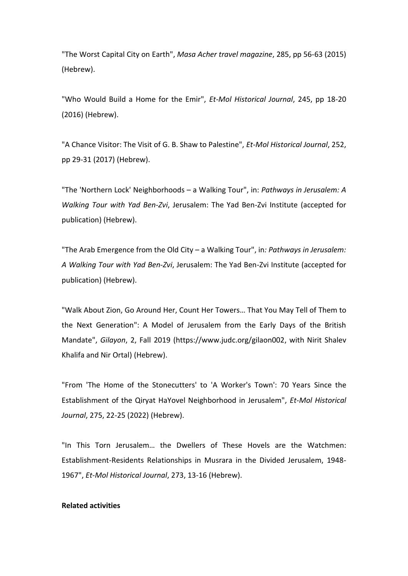"The Worst Capital City on Earth", *Masa Acher travel magazine*, 285, pp 56-63 (2015) (Hebrew).

"Who Would Build a Home for the Emir", *Et-Mol Historical Journal*, 245, pp 18-20 (2016) (Hebrew).

"A Chance Visitor: The Visit of G. B. Shaw to Palestine", *Et-Mol Historical Journal*, 252, pp 29-31 (2017) (Hebrew).

"The 'Northern Lock' Neighborhoods – a Walking Tour", in: *Pathways in Jerusalem: A Walking Tour with Yad Ben-Zvi*, Jerusalem: The Yad Ben-Zvi Institute (accepted for publication) (Hebrew).

"The Arab Emergence from the Old City – a Walking Tour", in*: Pathways in Jerusalem: A Walking Tour with Yad Ben-Zvi*, Jerusalem: The Yad Ben-Zvi Institute (accepted for publication) (Hebrew).

"Walk About Zion, Go Around Her, Count Her Towers… That You May Tell of Them to the Next Generation": A Model of Jerusalem from the Early Days of the British Mandate", *Gilayon*, 2, Fall 2019 (https://www.judc.org/gilaon002, with Nirit Shalev Khalifa and Nir Ortal) (Hebrew).

"From 'The Home of the Stonecutters' to 'A Worker's Town': 70 Years Since the Establishment of the Qiryat HaYovel Neighborhood in Jerusalem", *Et-Mol Historical Journal*, 275, 22-25 (2022) (Hebrew).

"In This Torn Jerusalem… the Dwellers of These Hovels are the Watchmen: Establishment-Residents Relationships in Musrara in the Divided Jerusalem, 1948- 1967", *Et-Mol Historical Journal*, 273, 13-16 (Hebrew).

#### **Related activities**